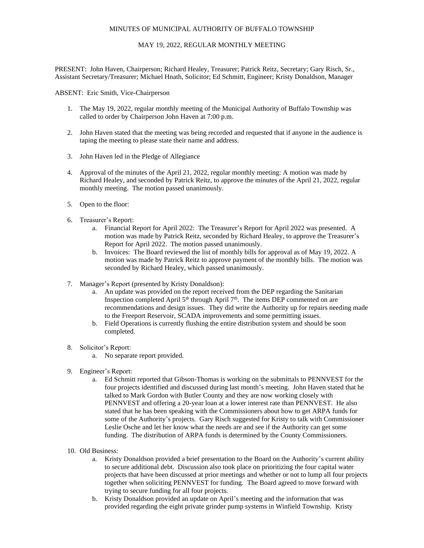# MINUTES OF MUNICIPAL AUTHORITY OF BUFFALO TOWNSHIP

# MAY 19, 2022, REGULAR MONTHLY MEETING

PRESENT: John Haven, Chairperson; Richard Healey, Treasurer; Patrick Reitz, Secretary; Gary Risch, Sr., Assistant Secretary/Treasurer; Michael Hnath, Solicitor; Ed Schmitt, Engineer; Kristy Donaldson, Manager

ABSENT: Eric Smith, Vice-Chairperson

- 1. The May 19, 2022, regular monthly meeting of the Municipal Authority of Buffalo Township was called to order by Chairperson John Haven at 7:00 p.m.
- 2. John Haven stated that the meeting was being recorded and requested that if anyone in the audience is taping the meeting to please state their name and address.
- 3. John Haven led in the Pledge of Allegiance
- 4. Approval of the minutes of the April 21, 2022, regular monthly meeting: A motion was made by Richard Healey, and seconded by Patrick Reitz, to approve the minutes of the April 21, 2022, regular monthly meeting. The motion passed unanimously.
- 5. Open to the floor:
- 6. Treasurer's Report:
	- a. Financial Report for April 2022: The Treasurer's Report for April 2022 was presented. A motion was made by Patrick Reitz, seconded by Richard Healey, to approve the Treasurer's Report for April 2022. The motion passed unanimously.
	- b. Invoices: The Board reviewed the list of monthly bills for approval as of May 19, 2022. A motion was made by Patrick Reitz to approve payment of the monthly bills. The motion was seconded by Richard Healey, which passed unanimously.
- 7. Manager's Report (presented by Kristy Donaldson):
	- a. An update was provided on the report received from the DEP regarding the Sanitarian Inspection completed April 5<sup>th</sup> through April 7<sup>th</sup>. The items DEP commented on are recommendations and design issues. They did write the Authority up for repairs needing made to the Freeport Reservoir, SCADA improvements and some permitting issues.
	- b. Field Operations is currently flushing the entire distribution system and should be soon completed.
- 8. Solicitor's Report:
	- a. No separate report provided.
- 9. Engineer's Report:
	- a. Ed Schmitt reported that Gibson-Thomas is working on the submittals to PENNVEST for the four projects identified and discussed during last month's meeting. John Haven stated that he talked to Mark Gordon with Butler County and they are now working closely with PENNVEST and offering a 20-year loan at a lower interest rate than PENNVEST. He also stated that he has been speaking with the Commissioners about how to get ARPA funds for some of the Authority's projects. Gary Risch suggested for Kristy to talk with Commissioner Leslie Osche and let her know what the needs are and see if the Authority can get some funding. The distribution of ARPA funds is determined by the County Commissioners.
- 10. Old Business:
	- a. Kristy Donaldson provided a brief presentation to the Board on the Authority's current ability to secure additional debt. Discussion also took place on prioritizing the four capital water projects that have been discussed at prior meetings and whether or not to lump all four projects together when soliciting PENNVEST for funding. The Board agreed to move forward with trying to secure funding for all four projects.
	- b. Kristy Donaldson provided an update on April's meeting and the information that was provided regarding the eight private grinder pump systems in Winfield Township. Kristy